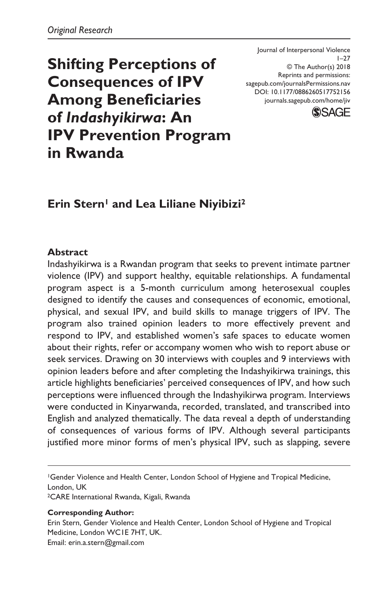**Shifting Perceptions of Consequences of IPV Among Beneficiaries of** *Indashyikirwa***: An IPV Prevention Program in Rwanda**

DOI: 10.1177/0886260517752156 Journal of Interpersonal Violence  $1 - 27$ © The Author(s) 2018 Reprints and permissions: [sagepub.com/journalsPermissions.nav](https://us.sagepub.com/en-us/journals-permissions) [journals.sagepub.com/home/jiv](https://journals.sagepub.com/home/jiv)



# **Erin Stern<sup>1</sup> and Lea Liliane Niyibizi<sup>2</sup>**

### **Abstract**

Indashyikirwa is a Rwandan program that seeks to prevent intimate partner violence (IPV) and support healthy, equitable relationships. A fundamental program aspect is a 5-month curriculum among heterosexual couples designed to identify the causes and consequences of economic, emotional, physical, and sexual IPV, and build skills to manage triggers of IPV. The program also trained opinion leaders to more effectively prevent and respond to IPV, and established women's safe spaces to educate women about their rights, refer or accompany women who wish to report abuse or seek services. Drawing on 30 interviews with couples and 9 interviews with opinion leaders before and after completing the Indashyikirwa trainings, this article highlights beneficiaries' perceived consequences of IPV, and how such perceptions were influenced through the Indashyikirwa program. Interviews were conducted in Kinyarwanda, recorded, translated, and transcribed into English and analyzed thematically. The data reveal a depth of understanding of consequences of various forms of IPV. Although several participants justified more minor forms of men's physical IPV, such as slapping, severe

1Gender Violence and Health Center, London School of Hygiene and Tropical Medicine, London, UK

2CARE International Rwanda, Kigali, Rwanda

#### **Corresponding Author:**

Erin Stern, Gender Violence and Health Center, London School of Hygiene and Tropical Medicine, London WC1E 7HT, UK. Email: [erin.a.stern@gmail.com](mailto:erin.a.stern@gmail.com)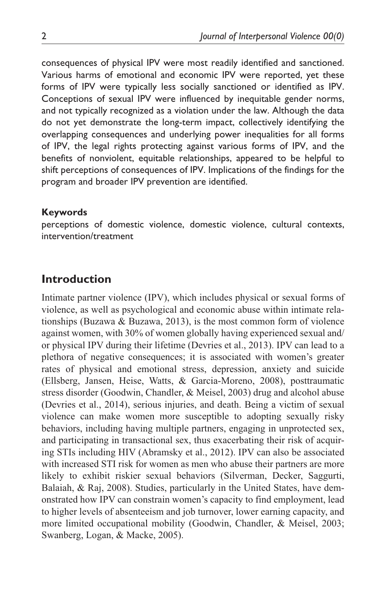consequences of physical IPV were most readily identified and sanctioned. Various harms of emotional and economic IPV were reported, yet these forms of IPV were typically less socially sanctioned or identified as IPV. Conceptions of sexual IPV were influenced by inequitable gender norms, and not typically recognized as a violation under the law. Although the data do not yet demonstrate the long-term impact, collectively identifying the overlapping consequences and underlying power inequalities for all forms of IPV, the legal rights protecting against various forms of IPV, and the benefits of nonviolent, equitable relationships, appeared to be helpful to shift perceptions of consequences of IPV. Implications of the findings for the program and broader IPV prevention are identified.

#### **Keywords**

perceptions of domestic violence, domestic violence, cultural contexts, intervention/treatment

### **Introduction**

Intimate partner violence (IPV), which includes physical or sexual forms of violence, as well as psychological and economic abuse within intimate relationships (Buzawa & Buzawa, 2013), is the most common form of violence against women, with 30% of women globally having experienced sexual and/ or physical IPV during their lifetime (Devries et al., 2013). IPV can lead to a plethora of negative consequences; it is associated with women's greater rates of physical and emotional stress, depression, anxiety and suicide (Ellsberg, Jansen, Heise, Watts, & Garcia-Moreno, 2008), posttraumatic stress disorder (Goodwin, Chandler, & Meisel, 2003) drug and alcohol abuse (Devries et al., 2014), serious injuries, and death. Being a victim of sexual violence can make women more susceptible to adopting sexually risky behaviors, including having multiple partners, engaging in unprotected sex, and participating in transactional sex, thus exacerbating their risk of acquiring STIs including HIV (Abramsky et al., 2012). IPV can also be associated with increased STI risk for women as men who abuse their partners are more likely to exhibit riskier sexual behaviors (Silverman, Decker, Saggurti, Balaiah, & Raj, 2008). Studies, particularly in the United States, have demonstrated how IPV can constrain women's capacity to find employment, lead to higher levels of absenteeism and job turnover, lower earning capacity, and more limited occupational mobility (Goodwin, Chandler, & Meisel, 2003; Swanberg, Logan, & Macke, 2005).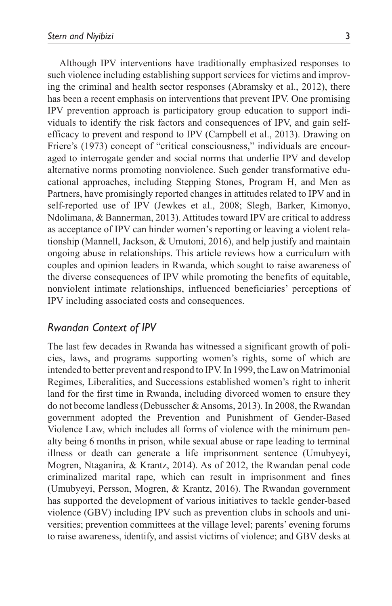Although IPV interventions have traditionally emphasized responses to such violence including establishing support services for victims and improving the criminal and health sector responses (Abramsky et al., 2012), there has been a recent emphasis on interventions that prevent IPV. One promising IPV prevention approach is participatory group education to support individuals to identify the risk factors and consequences of IPV, and gain selfefficacy to prevent and respond to IPV (Campbell et al., 2013). Drawing on Friere's (1973) concept of "critical consciousness," individuals are encouraged to interrogate gender and social norms that underlie IPV and develop alternative norms promoting nonviolence. Such gender transformative educational approaches, including Stepping Stones, Program H, and Men as Partners, have promisingly reported changes in attitudes related to IPV and in self-reported use of IPV (Jewkes et al., 2008; Slegh, Barker, Kimonyo, Ndolimana, & Bannerman, 2013). Attitudes toward IPV are critical to address as acceptance of IPV can hinder women's reporting or leaving a violent relationship (Mannell, Jackson, & Umutoni, 2016), and help justify and maintain ongoing abuse in relationships. This article reviews how a curriculum with couples and opinion leaders in Rwanda, which sought to raise awareness of the diverse consequences of IPV while promoting the benefits of equitable, nonviolent intimate relationships, influenced beneficiaries' perceptions of IPV including associated costs and consequences.

### *Rwandan Context of IPV*

The last few decades in Rwanda has witnessed a significant growth of policies, laws, and programs supporting women's rights, some of which are intended to better prevent and respond to IPV. In 1999, the Law on Matrimonial Regimes, Liberalities, and Successions established women's right to inherit land for the first time in Rwanda, including divorced women to ensure they do not become landless (Debusscher & Ansoms, 2013). In 2008, the Rwandan government adopted the Prevention and Punishment of Gender-Based Violence Law, which includes all forms of violence with the minimum penalty being 6 months in prison, while sexual abuse or rape leading to terminal illness or death can generate a life imprisonment sentence (Umubyeyi, Mogren, Ntaganira, & Krantz, 2014). As of 2012, the Rwandan penal code criminalized marital rape, which can result in imprisonment and fines (Umubyeyi, Persson, Mogren, & Krantz, 2016). The Rwandan government has supported the development of various initiatives to tackle gender-based violence (GBV) including IPV such as prevention clubs in schools and universities; prevention committees at the village level; parents' evening forums to raise awareness, identify, and assist victims of violence; and GBV desks at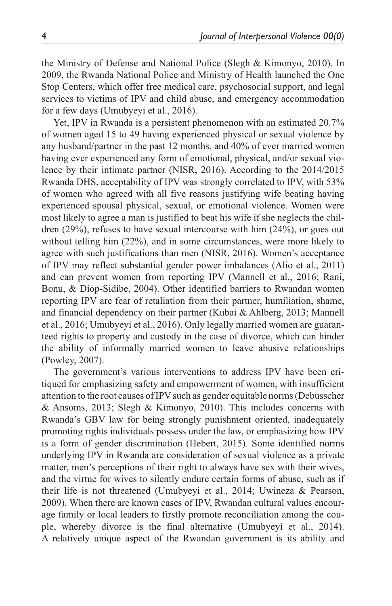the Ministry of Defense and National Police (Slegh & Kimonyo, 2010). In 2009, the Rwanda National Police and Ministry of Health launched the One Stop Centers, which offer free medical care, psychosocial support, and legal services to victims of IPV and child abuse, and emergency accommodation for a few days (Umubyeyi et al., 2016).

Yet, IPV in Rwanda is a persistent phenomenon with an estimated 20.7% of women aged 15 to 49 having experienced physical or sexual violence by any husband/partner in the past 12 months, and 40% of ever married women having ever experienced any form of emotional, physical, and/or sexual violence by their intimate partner (NISR, 2016). According to the 2014/2015 Rwanda DHS, acceptability of IPV was strongly correlated to IPV, with 53% of women who agreed with all five reasons justifying wife beating having experienced spousal physical, sexual, or emotional violence. Women were most likely to agree a man is justified to beat his wife if she neglects the children (29%), refuses to have sexual intercourse with him (24%), or goes out without telling him  $(22\%)$ , and in some circumstances, were more likely to agree with such justifications than men (NISR, 2016). Women's acceptance of IPV may reflect substantial gender power imbalances (Alio et al., 2011) and can prevent women from reporting IPV (Mannell et al., 2016; Rani, Bonu, & Diop-Sidibe, 2004). Other identified barriers to Rwandan women reporting IPV are fear of retaliation from their partner, humiliation, shame, and financial dependency on their partner (Kubai & Ahlberg, 2013; Mannell et al., 2016; Umubyeyi et al., 2016). Only legally married women are guaranteed rights to property and custody in the case of divorce, which can hinder the ability of informally married women to leave abusive relationships (Powley, 2007).

The government's various interventions to address IPV have been critiqued for emphasizing safety and empowerment of women, with insufficient attention to the root causes of IPV such as gender equitable norms (Debusscher & Ansoms, 2013; Slegh & Kimonyo, 2010). This includes concerns with Rwanda's GBV law for being strongly punishment oriented, inadequately promoting rights individuals possess under the law, or emphasizing how IPV is a form of gender discrimination (Hebert, 2015). Some identified norms underlying IPV in Rwanda are consideration of sexual violence as a private matter, men's perceptions of their right to always have sex with their wives, and the virtue for wives to silently endure certain forms of abuse, such as if their life is not threatened (Umubyeyi et al., 2014; Uwineza & Pearson, 2009). When there are known cases of IPV, Rwandan cultural values encourage family or local leaders to firstly promote reconciliation among the couple, whereby divorce is the final alternative (Umubyeyi et al., 2014). A relatively unique aspect of the Rwandan government is its ability and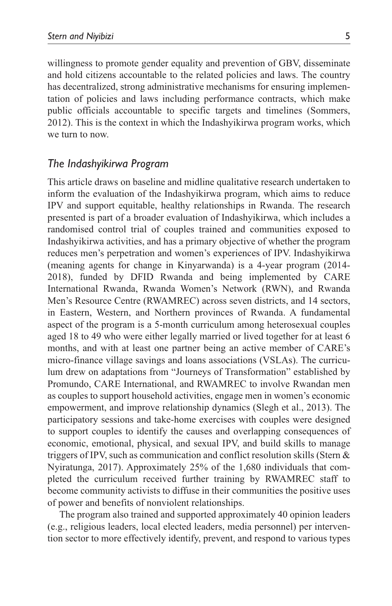willingness to promote gender equality and prevention of GBV, disseminate and hold citizens accountable to the related policies and laws. The country has decentralized, strong administrative mechanisms for ensuring implementation of policies and laws including performance contracts, which make public officials accountable to specific targets and timelines (Sommers, 2012). This is the context in which the Indashyikirwa program works, which we turn to now.

#### *The Indashyikirwa Program*

This article draws on baseline and midline qualitative research undertaken to inform the evaluation of the Indashyikirwa program, which aims to reduce IPV and support equitable, healthy relationships in Rwanda. The research presented is part of a broader evaluation of Indashyikirwa, which includes a randomised control trial of couples trained and communities exposed to Indashyikirwa activities, and has a primary objective of whether the program reduces men's perpetration and women's experiences of IPV. Indashyikirwa (meaning agents for change in Kinyarwanda) is a 4-year program (2014- 2018), funded by DFID Rwanda and being implemented by CARE International Rwanda, Rwanda Women's Network (RWN), and Rwanda Men's Resource Centre (RWAMREC) across seven districts, and 14 sectors, in Eastern, Western, and Northern provinces of Rwanda. A fundamental aspect of the program is a 5-month curriculum among heterosexual couples aged 18 to 49 who were either legally married or lived together for at least 6 months, and with at least one partner being an active member of CARE's micro-finance village savings and loans associations (VSLAs). The curriculum drew on adaptations from "Journeys of Transformation" established by Promundo, CARE International, and RWAMREC to involve Rwandan men as couples to support household activities, engage men in women's economic empowerment, and improve relationship dynamics (Slegh et al., 2013). The participatory sessions and take-home exercises with couples were designed to support couples to identify the causes and overlapping consequences of economic, emotional, physical, and sexual IPV, and build skills to manage triggers of IPV, such as communication and conflict resolution skills (Stern & Nyiratunga, 2017). Approximately 25% of the 1,680 individuals that completed the curriculum received further training by RWAMREC staff to become community activists to diffuse in their communities the positive uses of power and benefits of nonviolent relationships.

The program also trained and supported approximately 40 opinion leaders (e.g., religious leaders, local elected leaders, media personnel) per intervention sector to more effectively identify, prevent, and respond to various types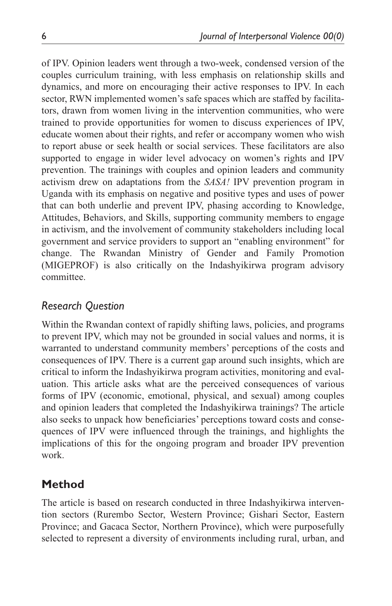of IPV. Opinion leaders went through a two-week, condensed version of the couples curriculum training, with less emphasis on relationship skills and dynamics, and more on encouraging their active responses to IPV. In each sector, RWN implemented women's safe spaces which are staffed by facilitators, drawn from women living in the intervention communities, who were trained to provide opportunities for women to discuss experiences of IPV, educate women about their rights, and refer or accompany women who wish to report abuse or seek health or social services. These facilitators are also supported to engage in wider level advocacy on women's rights and IPV prevention. The trainings with couples and opinion leaders and community activism drew on adaptations from the *SASA!* IPV prevention program in Uganda with its emphasis on negative and positive types and uses of power that can both underlie and prevent IPV, phasing according to Knowledge, Attitudes, Behaviors, and Skills, supporting community members to engage in activism, and the involvement of community stakeholders including local government and service providers to support an "enabling environment" for change. The Rwandan Ministry of Gender and Family Promotion (MIGEPROF) is also critically on the Indashyikirwa program advisory committee.

## *Research Question*

Within the Rwandan context of rapidly shifting laws, policies, and programs to prevent IPV, which may not be grounded in social values and norms, it is warranted to understand community members' perceptions of the costs and consequences of IPV. There is a current gap around such insights, which are critical to inform the Indashyikirwa program activities, monitoring and evaluation. This article asks what are the perceived consequences of various forms of IPV (economic, emotional, physical, and sexual) among couples and opinion leaders that completed the Indashyikirwa trainings? The article also seeks to unpack how beneficiaries' perceptions toward costs and consequences of IPV were influenced through the trainings, and highlights the implications of this for the ongoing program and broader IPV prevention work.

## **Method**

The article is based on research conducted in three Indashyikirwa intervention sectors (Rurembo Sector, Western Province; Gishari Sector, Eastern Province; and Gacaca Sector, Northern Province), which were purposefully selected to represent a diversity of environments including rural, urban, and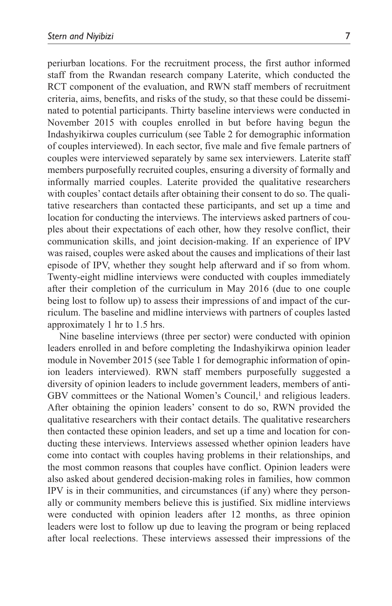periurban locations. For the recruitment process, the first author informed staff from the Rwandan research company Laterite, which conducted the RCT component of the evaluation, and RWN staff members of recruitment criteria, aims, benefits, and risks of the study, so that these could be disseminated to potential participants. Thirty baseline interviews were conducted in November 2015 with couples enrolled in but before having begun the Indashyikirwa couples curriculum (see Table 2 for demographic information of couples interviewed). In each sector, five male and five female partners of couples were interviewed separately by same sex interviewers. Laterite staff members purposefully recruited couples, ensuring a diversity of formally and informally married couples. Laterite provided the qualitative researchers with couples' contact details after obtaining their consent to do so. The qualitative researchers than contacted these participants, and set up a time and location for conducting the interviews. The interviews asked partners of couples about their expectations of each other, how they resolve conflict, their communication skills, and joint decision-making. If an experience of IPV was raised, couples were asked about the causes and implications of their last episode of IPV, whether they sought help afterward and if so from whom. Twenty-eight midline interviews were conducted with couples immediately after their completion of the curriculum in May 2016 (due to one couple being lost to follow up) to assess their impressions of and impact of the curriculum. The baseline and midline interviews with partners of couples lasted approximately 1 hr to 1.5 hrs.

Nine baseline interviews (three per sector) were conducted with opinion leaders enrolled in and before completing the Indashyikirwa opinion leader module in November 2015 (see Table 1 for demographic information of opinion leaders interviewed). RWN staff members purposefully suggested a diversity of opinion leaders to include government leaders, members of anti-GBV committees or the National Women's Council,<sup>1</sup> and religious leaders. After obtaining the opinion leaders' consent to do so, RWN provided the qualitative researchers with their contact details. The qualitative researchers then contacted these opinion leaders, and set up a time and location for conducting these interviews. Interviews assessed whether opinion leaders have come into contact with couples having problems in their relationships, and the most common reasons that couples have conflict. Opinion leaders were also asked about gendered decision-making roles in families, how common IPV is in their communities, and circumstances (if any) where they personally or community members believe this is justified. Six midline interviews were conducted with opinion leaders after 12 months, as three opinion leaders were lost to follow up due to leaving the program or being replaced after local reelections. These interviews assessed their impressions of the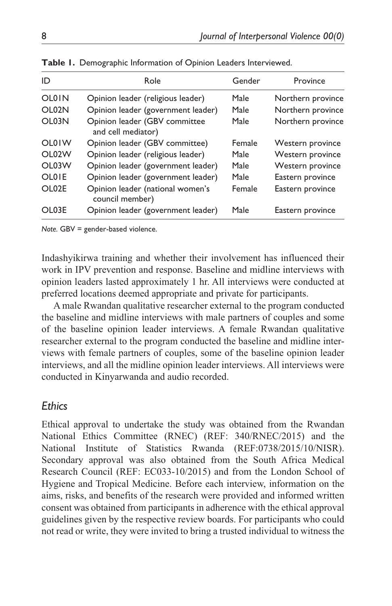| ID           | Role                                                | Gender | Province          |
|--------------|-----------------------------------------------------|--------|-------------------|
| <b>OL0IN</b> | Opinion leader (religious leader)                   | Male   | Northern province |
| OLO2N        | Opinion leader (government leader)                  | Male   | Northern province |
| OL03N        | Opinion leader (GBV committee<br>and cell mediator) | Male   | Northern province |
| <b>OL0IW</b> | Opinion leader (GBV committee)                      | Female | Western province  |
| OLO2W        | Opinion leader (religious leader)                   | Male   | Western province  |
| OL03W        | Opinion leader (government leader)                  | Male   | Western province  |
| <b>OLOIE</b> | Opinion leader (government leader)                  | Male   | Eastern province  |
| OLO2F        | Opinion leader (national women's<br>council member) | Female | Eastern province  |
| OL03E        | Opinion leader (government leader)                  | Male   | Eastern province  |

**Table 1.** Demographic Information of Opinion Leaders Interviewed.

*Note.* GBV = gender-based violence.

Indashyikirwa training and whether their involvement has influenced their work in IPV prevention and response. Baseline and midline interviews with opinion leaders lasted approximately 1 hr. All interviews were conducted at preferred locations deemed appropriate and private for participants.

A male Rwandan qualitative researcher external to the program conducted the baseline and midline interviews with male partners of couples and some of the baseline opinion leader interviews. A female Rwandan qualitative researcher external to the program conducted the baseline and midline interviews with female partners of couples, some of the baseline opinion leader interviews, and all the midline opinion leader interviews. All interviews were conducted in Kinyarwanda and audio recorded.

### *Ethics*

Ethical approval to undertake the study was obtained from the Rwandan National Ethics Committee (RNEC) (REF: 340/RNEC/2015) and the National Institute of Statistics Rwanda (REF:0738/2015/10/NISR). Secondary approval was also obtained from the South Africa Medical Research Council (REF: EC033-10/2015) and from the London School of Hygiene and Tropical Medicine. Before each interview, information on the aims, risks, and benefits of the research were provided and informed written consent was obtained from participants in adherence with the ethical approval guidelines given by the respective review boards. For participants who could not read or write, they were invited to bring a trusted individual to witness the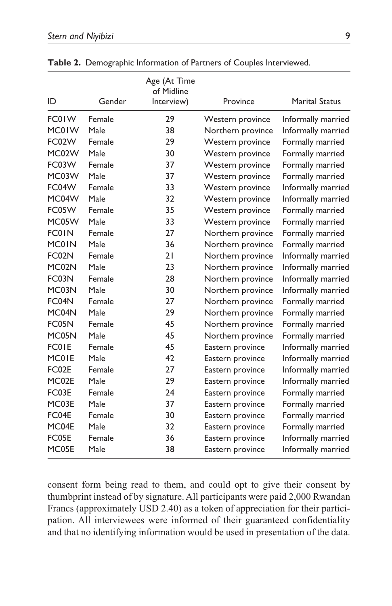| ID           | Gender | Age (At Time<br>of Midline<br>Interview) | Province          | <b>Marital Status</b> |
|--------------|--------|------------------------------------------|-------------------|-----------------------|
|              |        |                                          |                   |                       |
| FC01W        | Female | 29                                       | Western province  | Informally married    |
| MC01W        | Male   | 38                                       | Northern province | Informally married    |
| FC02W        | Female | 29                                       | Western province  | Formally married      |
| MC02W        | Male   | 30                                       | Western province  | Formally married      |
| FC03W        | Female | 37                                       | Western province  | Formally married      |
| MC03W        | Male   | 37                                       | Western province  | Formally married      |
| FC04W        | Female | 33                                       | Western province  | Informally married    |
| MC04W        | Male   | 32                                       | Western province  | Informally married    |
| FC05W        | Female | 35                                       | Western province  | Formally married      |
| MC05W        | Male   | 33                                       | Western province  | Formally married      |
| <b>FC01N</b> | Female | 27                                       | Northern province | Formally married      |
| <b>MC0IN</b> | Male   | 36                                       | Northern province | Formally married      |
| FC02N        | Female | 21                                       | Northern province | Informally married    |
| MC02N        | Male   | 23                                       | Northern province | Informally married    |
| FC03N        | Female | 28                                       | Northern province | Informally married    |
| MC03N        | Male   | 30                                       | Northern province | Informally married    |
| FC04N        | Female | 27                                       | Northern province | Formally married      |
| MC04N        | Male   | 29                                       | Northern province | Formally married      |
| FC05N        | Female | 45                                       | Northern province | Formally married      |
| MC05N        | Male   | 45                                       | Northern province | Formally married      |
| <b>FC01E</b> | Female | 45                                       | Eastern province  | Informally married    |
| MC01E        | Male   | 42                                       | Eastern province  | Informally married    |
| FC02E        | Female | 27                                       | Eastern province  | Informally married    |
| MC02E        | Male   | 29                                       | Eastern province  | Informally married    |
| FC03E        | Female | 24                                       | Eastern province  | Formally married      |
| MC03E        | Male   | 37                                       | Eastern province  | Formally married      |
| FC04E        | Female | 30                                       | Eastern province  | Formally married      |
| MC04E        | Male   | 32                                       | Eastern province  | Formally married      |
| FC05E        | Female | 36                                       | Eastern province  | Informally married    |
| MC05E        | Male   | 38                                       | Eastern province  | Informally married    |

**Table 2.** Demographic Information of Partners of Couples Interviewed.

consent form being read to them, and could opt to give their consent by thumbprint instead of by signature. All participants were paid 2,000 Rwandan Francs (approximately USD 2.40) as a token of appreciation for their participation. All interviewees were informed of their guaranteed confidentiality and that no identifying information would be used in presentation of the data.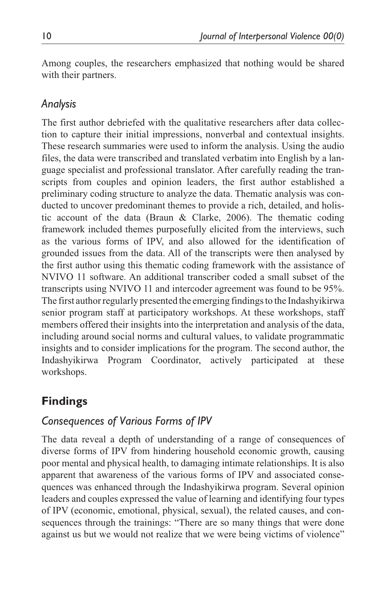Among couples, the researchers emphasized that nothing would be shared with their partners.

## *Analysis*

The first author debriefed with the qualitative researchers after data collection to capture their initial impressions, nonverbal and contextual insights. These research summaries were used to inform the analysis. Using the audio files, the data were transcribed and translated verbatim into English by a language specialist and professional translator. After carefully reading the transcripts from couples and opinion leaders, the first author established a preliminary coding structure to analyze the data. Thematic analysis was conducted to uncover predominant themes to provide a rich, detailed, and holistic account of the data (Braun & Clarke, 2006). The thematic coding framework included themes purposefully elicited from the interviews, such as the various forms of IPV, and also allowed for the identification of grounded issues from the data. All of the transcripts were then analysed by the first author using this thematic coding framework with the assistance of NVIVO 11 software. An additional transcriber coded a small subset of the transcripts using NVIVO 11 and intercoder agreement was found to be 95%. The first author regularly presented the emerging findings to the Indashyikirwa senior program staff at participatory workshops. At these workshops, staff members offered their insights into the interpretation and analysis of the data, including around social norms and cultural values, to validate programmatic insights and to consider implications for the program. The second author, the Indashyikirwa Program Coordinator, actively participated at these workshops.

# **Findings**

### *Consequences of Various Forms of IPV*

The data reveal a depth of understanding of a range of consequences of diverse forms of IPV from hindering household economic growth, causing poor mental and physical health, to damaging intimate relationships. It is also apparent that awareness of the various forms of IPV and associated consequences was enhanced through the Indashyikirwa program. Several opinion leaders and couples expressed the value of learning and identifying four types of IPV (economic, emotional, physical, sexual), the related causes, and consequences through the trainings: "There are so many things that were done against us but we would not realize that we were being victims of violence"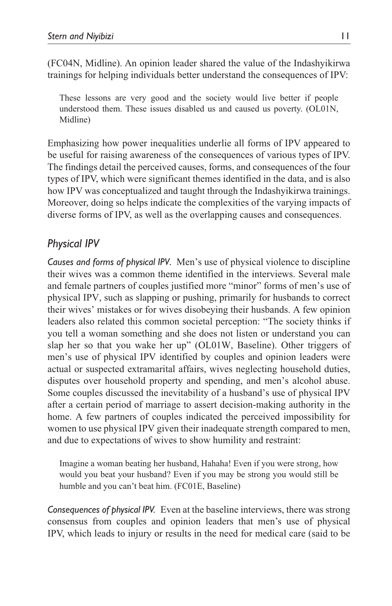(FC04N, Midline). An opinion leader shared the value of the Indashyikirwa trainings for helping individuals better understand the consequences of IPV:

These lessons are very good and the society would live better if people understood them. These issues disabled us and caused us poverty. (OL01N, Midline)

Emphasizing how power inequalities underlie all forms of IPV appeared to be useful for raising awareness of the consequences of various types of IPV. The findings detail the perceived causes, forms, and consequences of the four types of IPV, which were significant themes identified in the data, and is also how IPV was conceptualized and taught through the Indashyikirwa trainings. Moreover, doing so helps indicate the complexities of the varying impacts of diverse forms of IPV, as well as the overlapping causes and consequences.

## *Physical IPV*

*Causes and forms of physical IPV.* Men's use of physical violence to discipline their wives was a common theme identified in the interviews. Several male and female partners of couples justified more "minor" forms of men's use of physical IPV, such as slapping or pushing, primarily for husbands to correct their wives' mistakes or for wives disobeying their husbands. A few opinion leaders also related this common societal perception: "The society thinks if you tell a woman something and she does not listen or understand you can slap her so that you wake her up" (OL01W, Baseline). Other triggers of men's use of physical IPV identified by couples and opinion leaders were actual or suspected extramarital affairs, wives neglecting household duties, disputes over household property and spending, and men's alcohol abuse. Some couples discussed the inevitability of a husband's use of physical IPV after a certain period of marriage to assert decision-making authority in the home. A few partners of couples indicated the perceived impossibility for women to use physical IPV given their inadequate strength compared to men, and due to expectations of wives to show humility and restraint:

Imagine a woman beating her husband, Hahaha! Even if you were strong, how would you beat your husband? Even if you may be strong you would still be humble and you can't beat him. (FC01E, Baseline)

*Consequences of physical IPV.* Even at the baseline interviews, there was strong consensus from couples and opinion leaders that men's use of physical IPV, which leads to injury or results in the need for medical care (said to be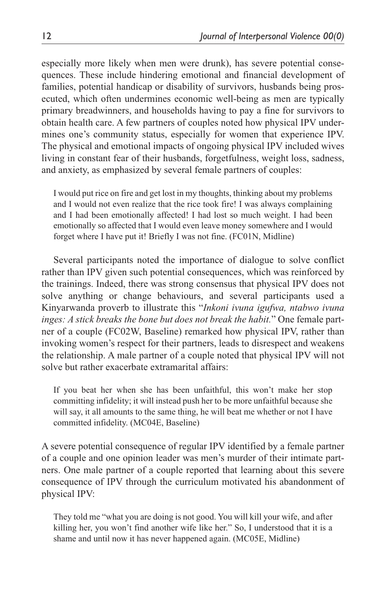especially more likely when men were drunk), has severe potential consequences. These include hindering emotional and financial development of families, potential handicap or disability of survivors, husbands being prosecuted, which often undermines economic well-being as men are typically primary breadwinners, and households having to pay a fine for survivors to obtain health care. A few partners of couples noted how physical IPV undermines one's community status, especially for women that experience IPV. The physical and emotional impacts of ongoing physical IPV included wives living in constant fear of their husbands, forgetfulness, weight loss, sadness, and anxiety, as emphasized by several female partners of couples:

I would put rice on fire and get lost in my thoughts, thinking about my problems and I would not even realize that the rice took fire! I was always complaining and I had been emotionally affected! I had lost so much weight. I had been emotionally so affected that I would even leave money somewhere and I would forget where I have put it! Briefly I was not fine. (FC01N, Midline)

Several participants noted the importance of dialogue to solve conflict rather than IPV given such potential consequences, which was reinforced by the trainings. Indeed, there was strong consensus that physical IPV does not solve anything or change behaviours, and several participants used a Kinyarwanda proverb to illustrate this "*Inkoni ivuna igufwa, ntabwo ivuna inges: A stick breaks the bone but does not break the habit.*" One female partner of a couple (FC02W, Baseline) remarked how physical IPV, rather than invoking women's respect for their partners, leads to disrespect and weakens the relationship. A male partner of a couple noted that physical IPV will not solve but rather exacerbate extramarital affairs:

If you beat her when she has been unfaithful, this won't make her stop committing infidelity; it will instead push her to be more unfaithful because she will say, it all amounts to the same thing, he will beat me whether or not I have committed infidelity. (MC04E, Baseline)

A severe potential consequence of regular IPV identified by a female partner of a couple and one opinion leader was men's murder of their intimate partners. One male partner of a couple reported that learning about this severe consequence of IPV through the curriculum motivated his abandonment of physical IPV:

They told me "what you are doing is not good. You will kill your wife, and after killing her, you won't find another wife like her." So, I understood that it is a shame and until now it has never happened again. (MC05E, Midline)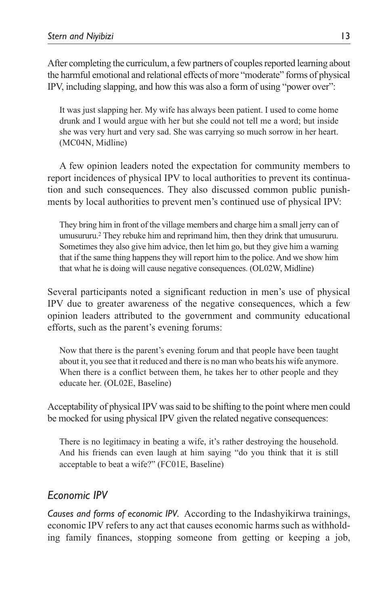After completing the curriculum, a few partners of couples reported learning about the harmful emotional and relational effects of more "moderate" forms of physical IPV, including slapping, and how this was also a form of using "power over":

It was just slapping her. My wife has always been patient. I used to come home drunk and I would argue with her but she could not tell me a word; but inside she was very hurt and very sad. She was carrying so much sorrow in her heart. (MC04N, Midline)

A few opinion leaders noted the expectation for community members to report incidences of physical IPV to local authorities to prevent its continuation and such consequences. They also discussed common public punishments by local authorities to prevent men's continued use of physical IPV:

They bring him in front of the village members and charge him a small jerry can of umusururu.2 They rebuke him and reprimand him, then they drink that umusururu. Sometimes they also give him advice, then let him go, but they give him a warning that if the same thing happens they will report him to the police. And we show him that what he is doing will cause negative consequences. (OL02W, Midline)

Several participants noted a significant reduction in men's use of physical IPV due to greater awareness of the negative consequences, which a few opinion leaders attributed to the government and community educational efforts, such as the parent's evening forums:

Now that there is the parent's evening forum and that people have been taught about it, you see that it reduced and there is no man who beats his wife anymore. When there is a conflict between them, he takes her to other people and they educate her. (OL02E, Baseline)

Acceptability of physical IPV was said to be shifting to the point where men could be mocked for using physical IPV given the related negative consequences:

There is no legitimacy in beating a wife, it's rather destroying the household. And his friends can even laugh at him saying "do you think that it is still acceptable to beat a wife?" (FC01E, Baseline)

## *Economic IPV*

*Causes and forms of economic IPV.* According to the Indashyikirwa trainings, economic IPV refers to any act that causes economic harms such as withholding family finances, stopping someone from getting or keeping a job,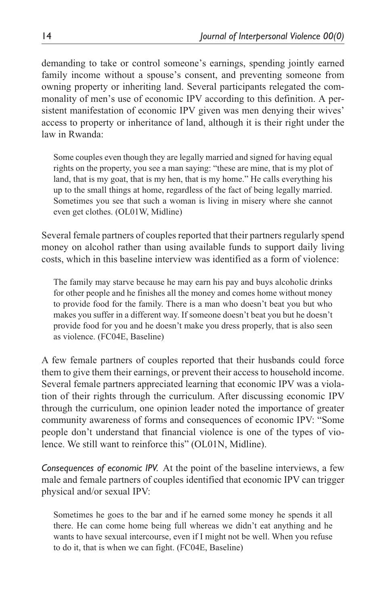demanding to take or control someone's earnings, spending jointly earned family income without a spouse's consent, and preventing someone from owning property or inheriting land. Several participants relegated the commonality of men's use of economic IPV according to this definition. A persistent manifestation of economic IPV given was men denying their wives' access to property or inheritance of land, although it is their right under the law in Rwanda:

Some couples even though they are legally married and signed for having equal rights on the property, you see a man saying: "these are mine, that is my plot of land, that is my goat, that is my hen, that is my home." He calls everything his up to the small things at home, regardless of the fact of being legally married. Sometimes you see that such a woman is living in misery where she cannot even get clothes. (OL01W, Midline)

Several female partners of couples reported that their partners regularly spend money on alcohol rather than using available funds to support daily living costs, which in this baseline interview was identified as a form of violence:

The family may starve because he may earn his pay and buys alcoholic drinks for other people and he finishes all the money and comes home without money to provide food for the family. There is a man who doesn't beat you but who makes you suffer in a different way. If someone doesn't beat you but he doesn't provide food for you and he doesn't make you dress properly, that is also seen as violence. (FC04E, Baseline)

A few female partners of couples reported that their husbands could force them to give them their earnings, or prevent their access to household income. Several female partners appreciated learning that economic IPV was a violation of their rights through the curriculum. After discussing economic IPV through the curriculum, one opinion leader noted the importance of greater community awareness of forms and consequences of economic IPV: "Some people don't understand that financial violence is one of the types of violence. We still want to reinforce this" (OL01N, Midline).

*Consequences of economic IPV.* At the point of the baseline interviews, a few male and female partners of couples identified that economic IPV can trigger physical and/or sexual IPV:

Sometimes he goes to the bar and if he earned some money he spends it all there. He can come home being full whereas we didn't eat anything and he wants to have sexual intercourse, even if I might not be well. When you refuse to do it, that is when we can fight. (FC04E, Baseline)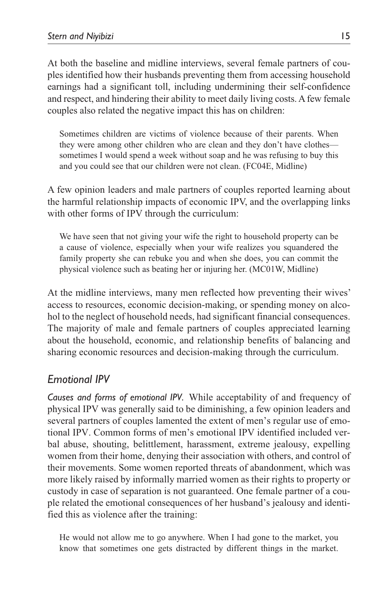At both the baseline and midline interviews, several female partners of couples identified how their husbands preventing them from accessing household earnings had a significant toll, including undermining their self-confidence and respect, and hindering their ability to meet daily living costs. A few female couples also related the negative impact this has on children:

Sometimes children are victims of violence because of their parents. When they were among other children who are clean and they don't have clothes sometimes I would spend a week without soap and he was refusing to buy this and you could see that our children were not clean. (FC04E, Midline)

A few opinion leaders and male partners of couples reported learning about the harmful relationship impacts of economic IPV, and the overlapping links with other forms of IPV through the curriculum:

We have seen that not giving your wife the right to household property can be a cause of violence, especially when your wife realizes you squandered the family property she can rebuke you and when she does, you can commit the physical violence such as beating her or injuring her. (MC01W, Midline)

At the midline interviews, many men reflected how preventing their wives' access to resources, economic decision-making, or spending money on alcohol to the neglect of household needs, had significant financial consequences. The majority of male and female partners of couples appreciated learning about the household, economic, and relationship benefits of balancing and sharing economic resources and decision-making through the curriculum.

# *Emotional IPV*

*Causes and forms of emotional IPV.* While acceptability of and frequency of physical IPV was generally said to be diminishing, a few opinion leaders and several partners of couples lamented the extent of men's regular use of emotional IPV. Common forms of men's emotional IPV identified included verbal abuse, shouting, belittlement, harassment, extreme jealousy, expelling women from their home, denying their association with others, and control of their movements. Some women reported threats of abandonment, which was more likely raised by informally married women as their rights to property or custody in case of separation is not guaranteed. One female partner of a couple related the emotional consequences of her husband's jealousy and identified this as violence after the training:

He would not allow me to go anywhere. When I had gone to the market, you know that sometimes one gets distracted by different things in the market.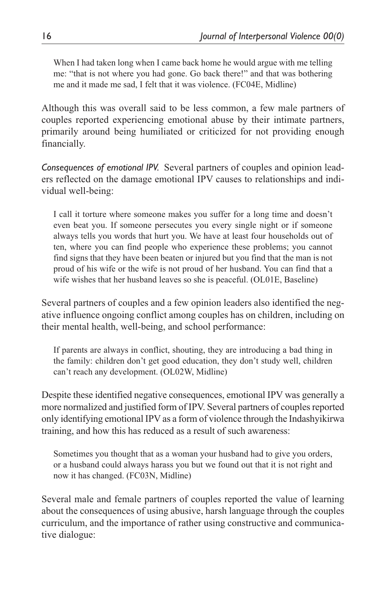When I had taken long when I came back home he would argue with me telling me: "that is not where you had gone. Go back there!" and that was bothering me and it made me sad, I felt that it was violence. (FC04E, Midline)

Although this was overall said to be less common, a few male partners of couples reported experiencing emotional abuse by their intimate partners, primarily around being humiliated or criticized for not providing enough financially.

*Consequences of emotional IPV.* Several partners of couples and opinion leaders reflected on the damage emotional IPV causes to relationships and individual well-being:

I call it torture where someone makes you suffer for a long time and doesn't even beat you. If someone persecutes you every single night or if someone always tells you words that hurt you. We have at least four households out of ten, where you can find people who experience these problems; you cannot find signs that they have been beaten or injured but you find that the man is not proud of his wife or the wife is not proud of her husband. You can find that a wife wishes that her husband leaves so she is peaceful. (OL01E, Baseline)

Several partners of couples and a few opinion leaders also identified the negative influence ongoing conflict among couples has on children, including on their mental health, well-being, and school performance:

If parents are always in conflict, shouting, they are introducing a bad thing in the family: children don't get good education, they don't study well, children can't reach any development. (OL02W, Midline)

Despite these identified negative consequences, emotional IPV was generally a more normalized and justified form of IPV. Several partners of couples reported only identifying emotional IPV as a form of violence through the Indashyikirwa training, and how this has reduced as a result of such awareness:

Sometimes you thought that as a woman your husband had to give you orders, or a husband could always harass you but we found out that it is not right and now it has changed. (FC03N, Midline)

Several male and female partners of couples reported the value of learning about the consequences of using abusive, harsh language through the couples curriculum, and the importance of rather using constructive and communicative dialogue: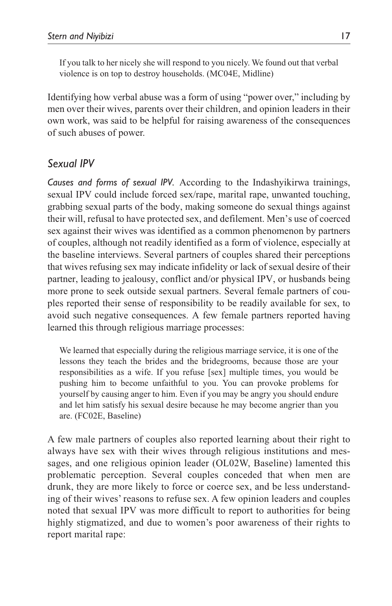If you talk to her nicely she will respond to you nicely. We found out that verbal violence is on top to destroy households. (MC04E, Midline)

Identifying how verbal abuse was a form of using "power over," including by men over their wives, parents over their children, and opinion leaders in their own work, was said to be helpful for raising awareness of the consequences of such abuses of power.

### *Sexual IPV*

*Causes and forms of sexual IPV.* According to the Indashyikirwa trainings, sexual IPV could include forced sex/rape, marital rape, unwanted touching, grabbing sexual parts of the body, making someone do sexual things against their will, refusal to have protected sex, and defilement. Men's use of coerced sex against their wives was identified as a common phenomenon by partners of couples, although not readily identified as a form of violence, especially at the baseline interviews. Several partners of couples shared their perceptions that wives refusing sex may indicate infidelity or lack of sexual desire of their partner, leading to jealousy, conflict and/or physical IPV, or husbands being more prone to seek outside sexual partners. Several female partners of couples reported their sense of responsibility to be readily available for sex, to avoid such negative consequences. A few female partners reported having learned this through religious marriage processes:

We learned that especially during the religious marriage service, it is one of the lessons they teach the brides and the bridegrooms, because those are your responsibilities as a wife. If you refuse [sex] multiple times, you would be pushing him to become unfaithful to you. You can provoke problems for yourself by causing anger to him. Even if you may be angry you should endure and let him satisfy his sexual desire because he may become angrier than you are. (FC02E, Baseline)

A few male partners of couples also reported learning about their right to always have sex with their wives through religious institutions and messages, and one religious opinion leader (OL02W, Baseline) lamented this problematic perception. Several couples conceded that when men are drunk, they are more likely to force or coerce sex, and be less understanding of their wives' reasons to refuse sex. A few opinion leaders and couples noted that sexual IPV was more difficult to report to authorities for being highly stigmatized, and due to women's poor awareness of their rights to report marital rape: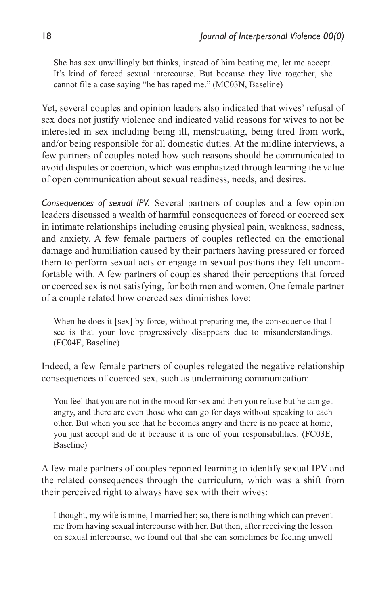She has sex unwillingly but thinks, instead of him beating me, let me accept. It's kind of forced sexual intercourse. But because they live together, she cannot file a case saying "he has raped me." (MC03N, Baseline)

Yet, several couples and opinion leaders also indicated that wives' refusal of sex does not justify violence and indicated valid reasons for wives to not be interested in sex including being ill, menstruating, being tired from work, and/or being responsible for all domestic duties. At the midline interviews, a few partners of couples noted how such reasons should be communicated to avoid disputes or coercion, which was emphasized through learning the value of open communication about sexual readiness, needs, and desires.

*Consequences of sexual IPV.* Several partners of couples and a few opinion leaders discussed a wealth of harmful consequences of forced or coerced sex in intimate relationships including causing physical pain, weakness, sadness, and anxiety. A few female partners of couples reflected on the emotional damage and humiliation caused by their partners having pressured or forced them to perform sexual acts or engage in sexual positions they felt uncomfortable with. A few partners of couples shared their perceptions that forced or coerced sex is not satisfying, for both men and women. One female partner of a couple related how coerced sex diminishes love:

When he does it [sex] by force, without preparing me, the consequence that I see is that your love progressively disappears due to misunderstandings. (FC04E, Baseline)

Indeed, a few female partners of couples relegated the negative relationship consequences of coerced sex, such as undermining communication:

You feel that you are not in the mood for sex and then you refuse but he can get angry, and there are even those who can go for days without speaking to each other. But when you see that he becomes angry and there is no peace at home, you just accept and do it because it is one of your responsibilities. (FC03E, Baseline)

A few male partners of couples reported learning to identify sexual IPV and the related consequences through the curriculum, which was a shift from their perceived right to always have sex with their wives:

I thought, my wife is mine, I married her; so, there is nothing which can prevent me from having sexual intercourse with her. But then, after receiving the lesson on sexual intercourse, we found out that she can sometimes be feeling unwell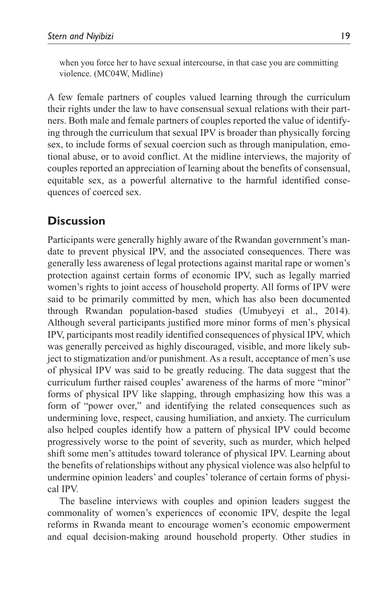when you force her to have sexual intercourse, in that case you are committing violence. (MC04W, Midline)

A few female partners of couples valued learning through the curriculum their rights under the law to have consensual sexual relations with their partners. Both male and female partners of couples reported the value of identifying through the curriculum that sexual IPV is broader than physically forcing sex, to include forms of sexual coercion such as through manipulation, emotional abuse, or to avoid conflict. At the midline interviews, the majority of couples reported an appreciation of learning about the benefits of consensual, equitable sex, as a powerful alternative to the harmful identified consequences of coerced sex.

# **Discussion**

Participants were generally highly aware of the Rwandan government's mandate to prevent physical IPV, and the associated consequences. There was generally less awareness of legal protections against marital rape or women's protection against certain forms of economic IPV, such as legally married women's rights to joint access of household property. All forms of IPV were said to be primarily committed by men, which has also been documented through Rwandan population-based studies (Umubyeyi et al., 2014). Although several participants justified more minor forms of men's physical IPV, participants most readily identified consequences of physical IPV, which was generally perceived as highly discouraged, visible, and more likely subject to stigmatization and/or punishment. As a result, acceptance of men's use of physical IPV was said to be greatly reducing. The data suggest that the curriculum further raised couples' awareness of the harms of more "minor" forms of physical IPV like slapping, through emphasizing how this was a form of "power over," and identifying the related consequences such as undermining love, respect, causing humiliation, and anxiety. The curriculum also helped couples identify how a pattern of physical IPV could become progressively worse to the point of severity, such as murder, which helped shift some men's attitudes toward tolerance of physical IPV. Learning about the benefits of relationships without any physical violence was also helpful to undermine opinion leaders' and couples' tolerance of certain forms of physical IPV.

The baseline interviews with couples and opinion leaders suggest the commonality of women's experiences of economic IPV, despite the legal reforms in Rwanda meant to encourage women's economic empowerment and equal decision-making around household property. Other studies in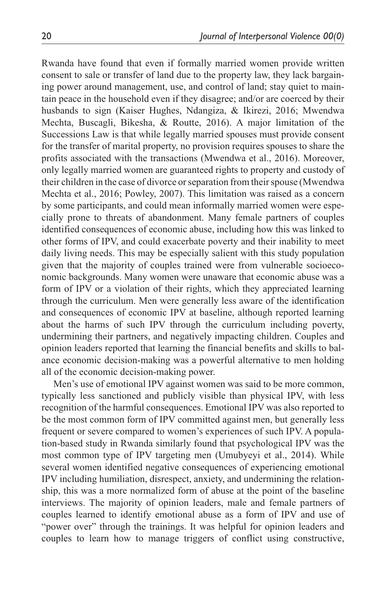Rwanda have found that even if formally married women provide written consent to sale or transfer of land due to the property law, they lack bargaining power around management, use, and control of land; stay quiet to maintain peace in the household even if they disagree; and/or are coerced by their husbands to sign (Kaiser Hughes, Ndangiza, & Ikirezi, 2016; Mwendwa Mechta, Buscagli, Bikesha, & Routte, 2016). A major limitation of the Successions Law is that while legally married spouses must provide consent for the transfer of marital property, no provision requires spouses to share the profits associated with the transactions (Mwendwa et al., 2016). Moreover, only legally married women are guaranteed rights to property and custody of their children in the case of divorce or separation from their spouse (Mwendwa Mechta et al., 2016; Powley, 2007). This limitation was raised as a concern by some participants, and could mean informally married women were especially prone to threats of abandonment. Many female partners of couples identified consequences of economic abuse, including how this was linked to other forms of IPV, and could exacerbate poverty and their inability to meet daily living needs. This may be especially salient with this study population given that the majority of couples trained were from vulnerable socioeconomic backgrounds. Many women were unaware that economic abuse was a form of IPV or a violation of their rights, which they appreciated learning through the curriculum. Men were generally less aware of the identification and consequences of economic IPV at baseline, although reported learning about the harms of such IPV through the curriculum including poverty, undermining their partners, and negatively impacting children. Couples and opinion leaders reported that learning the financial benefits and skills to balance economic decision-making was a powerful alternative to men holding all of the economic decision-making power.

Men's use of emotional IPV against women was said to be more common, typically less sanctioned and publicly visible than physical IPV, with less recognition of the harmful consequences. Emotional IPV was also reported to be the most common form of IPV committed against men, but generally less frequent or severe compared to women's experiences of such IPV. A population-based study in Rwanda similarly found that psychological IPV was the most common type of IPV targeting men (Umubyeyi et al., 2014). While several women identified negative consequences of experiencing emotional IPV including humiliation, disrespect, anxiety, and undermining the relationship, this was a more normalized form of abuse at the point of the baseline interviews. The majority of opinion leaders, male and female partners of couples learned to identify emotional abuse as a form of IPV and use of "power over" through the trainings. It was helpful for opinion leaders and couples to learn how to manage triggers of conflict using constructive,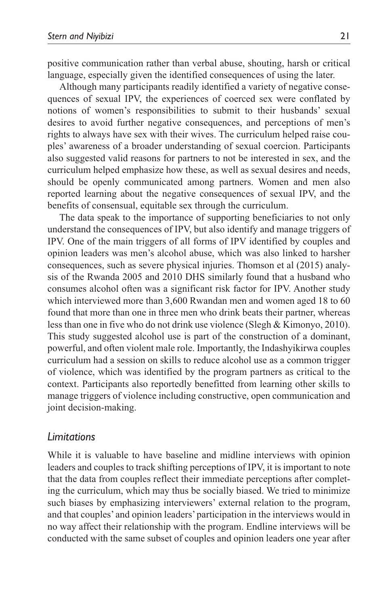positive communication rather than verbal abuse, shouting, harsh or critical language, especially given the identified consequences of using the later.

Although many participants readily identified a variety of negative consequences of sexual IPV, the experiences of coerced sex were conflated by notions of women's responsibilities to submit to their husbands' sexual desires to avoid further negative consequences, and perceptions of men's rights to always have sex with their wives. The curriculum helped raise couples' awareness of a broader understanding of sexual coercion. Participants also suggested valid reasons for partners to not be interested in sex, and the curriculum helped emphasize how these, as well as sexual desires and needs, should be openly communicated among partners. Women and men also reported learning about the negative consequences of sexual IPV, and the benefits of consensual, equitable sex through the curriculum.

The data speak to the importance of supporting beneficiaries to not only understand the consequences of IPV, but also identify and manage triggers of IPV. One of the main triggers of all forms of IPV identified by couples and opinion leaders was men's alcohol abuse, which was also linked to harsher consequences, such as severe physical injuries. Thomson et al (2015) analysis of the Rwanda 2005 and 2010 DHS similarly found that a husband who consumes alcohol often was a significant risk factor for IPV. Another study which interviewed more than 3,600 Rwandan men and women aged 18 to 60 found that more than one in three men who drink beats their partner, whereas less than one in five who do not drink use violence (Slegh & Kimonyo, 2010). This study suggested alcohol use is part of the construction of a dominant, powerful, and often violent male role. Importantly, the Indashyikirwa couples curriculum had a session on skills to reduce alcohol use as a common trigger of violence, which was identified by the program partners as critical to the context. Participants also reportedly benefitted from learning other skills to manage triggers of violence including constructive, open communication and joint decision-making.

#### *Limitations*

While it is valuable to have baseline and midline interviews with opinion leaders and couples to track shifting perceptions of IPV, it is important to note that the data from couples reflect their immediate perceptions after completing the curriculum, which may thus be socially biased. We tried to minimize such biases by emphasizing interviewers' external relation to the program, and that couples' and opinion leaders' participation in the interviews would in no way affect their relationship with the program. Endline interviews will be conducted with the same subset of couples and opinion leaders one year after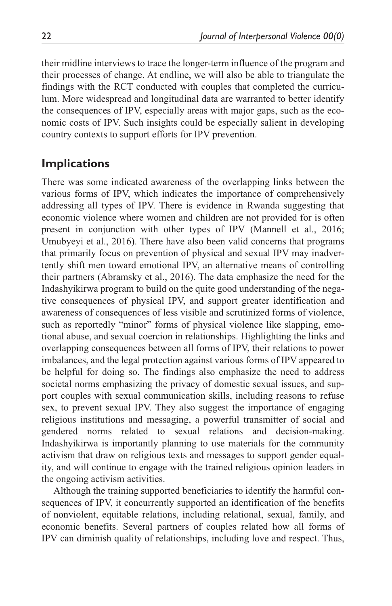their midline interviews to trace the longer-term influence of the program and their processes of change. At endline, we will also be able to triangulate the findings with the RCT conducted with couples that completed the curriculum. More widespread and longitudinal data are warranted to better identify the consequences of IPV, especially areas with major gaps, such as the economic costs of IPV. Such insights could be especially salient in developing country contexts to support efforts for IPV prevention.

# **Implications**

There was some indicated awareness of the overlapping links between the various forms of IPV, which indicates the importance of comprehensively addressing all types of IPV. There is evidence in Rwanda suggesting that economic violence where women and children are not provided for is often present in conjunction with other types of IPV (Mannell et al., 2016; Umubyeyi et al., 2016). There have also been valid concerns that programs that primarily focus on prevention of physical and sexual IPV may inadvertently shift men toward emotional IPV, an alternative means of controlling their partners (Abramsky et al., 2016). The data emphasize the need for the Indashyikirwa program to build on the quite good understanding of the negative consequences of physical IPV, and support greater identification and awareness of consequences of less visible and scrutinized forms of violence, such as reportedly "minor" forms of physical violence like slapping, emotional abuse, and sexual coercion in relationships. Highlighting the links and overlapping consequences between all forms of IPV, their relations to power imbalances, and the legal protection against various forms of IPV appeared to be helpful for doing so. The findings also emphasize the need to address societal norms emphasizing the privacy of domestic sexual issues, and support couples with sexual communication skills, including reasons to refuse sex, to prevent sexual IPV. They also suggest the importance of engaging religious institutions and messaging, a powerful transmitter of social and gendered norms related to sexual relations and decision-making. Indashyikirwa is importantly planning to use materials for the community activism that draw on religious texts and messages to support gender equality, and will continue to engage with the trained religious opinion leaders in the ongoing activism activities.

Although the training supported beneficiaries to identify the harmful consequences of IPV, it concurrently supported an identification of the benefits of nonviolent, equitable relations, including relational, sexual, family, and economic benefits. Several partners of couples related how all forms of IPV can diminish quality of relationships, including love and respect. Thus,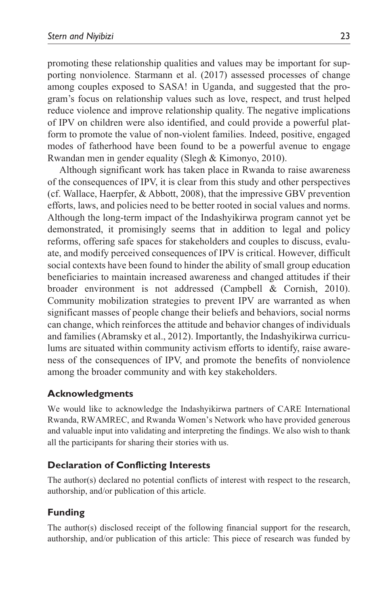promoting these relationship qualities and values may be important for supporting nonviolence. Starmann et al. (2017) assessed processes of change among couples exposed to SASA! in Uganda, and suggested that the program's focus on relationship values such as love, respect, and trust helped reduce violence and improve relationship quality. The negative implications of IPV on children were also identified, and could provide a powerful platform to promote the value of non-violent families. Indeed, positive, engaged modes of fatherhood have been found to be a powerful avenue to engage Rwandan men in gender equality (Slegh & Kimonyo, 2010).

Although significant work has taken place in Rwanda to raise awareness of the consequences of IPV, it is clear from this study and other perspectives (cf. Wallace, Haerpfer, & Abbott, 2008), that the impressive GBV prevention efforts, laws, and policies need to be better rooted in social values and norms. Although the long-term impact of the Indashyikirwa program cannot yet be demonstrated, it promisingly seems that in addition to legal and policy reforms, offering safe spaces for stakeholders and couples to discuss, evaluate, and modify perceived consequences of IPV is critical. However, difficult social contexts have been found to hinder the ability of small group education beneficiaries to maintain increased awareness and changed attitudes if their broader environment is not addressed (Campbell & Cornish, 2010). Community mobilization strategies to prevent IPV are warranted as when significant masses of people change their beliefs and behaviors, social norms can change, which reinforces the attitude and behavior changes of individuals and families (Abramsky et al., 2012). Importantly, the Indashyikirwa curriculums are situated within community activism efforts to identify, raise awareness of the consequences of IPV, and promote the benefits of nonviolence among the broader community and with key stakeholders.

#### **Acknowledgments**

We would like to acknowledge the Indashyikirwa partners of CARE International Rwanda, RWAMREC, and Rwanda Women's Network who have provided generous and valuable input into validating and interpreting the findings. We also wish to thank all the participants for sharing their stories with us.

#### **Declaration of Conflicting Interests**

The author(s) declared no potential conflicts of interest with respect to the research, authorship, and/or publication of this article.

### **Funding**

The author(s) disclosed receipt of the following financial support for the research, authorship, and/or publication of this article: This piece of research was funded by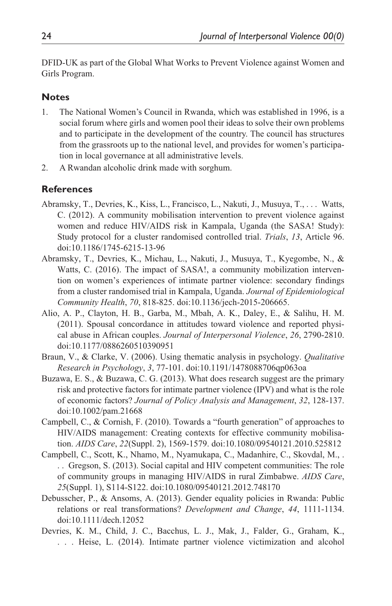DFID-UK as part of the Global What Works to Prevent Violence against Women and Girls Program.

### **Notes**

- 1. The National Women's Council in Rwanda, which was established in 1996, is a social forum where girls and women pool their ideas to solve their own problems and to participate in the development of the country. The council has structures from the grassroots up to the national level, and provides for women's participation in local governance at all administrative levels.
- 2. A Rwandan alcoholic drink made with sorghum.

#### **References**

- Abramsky, T., Devries, K., Kiss, L., Francisco, L., Nakuti, J., Musuya, T., . . . Watts, C. (2012). A community mobilisation intervention to prevent violence against women and reduce HIV/AIDS risk in Kampala, Uganda (the SASA! Study): Study protocol for a cluster randomised controlled trial. *Trials*, *13*, Article 96. doi:10.1186/1745-6215-13-96
- Abramsky, T., Devries, K., Michau, L., Nakuti, J., Musuya, T., Kyegombe, N., & Watts, C. (2016). The impact of SASA!, a community mobilization intervention on women's experiences of intimate partner violence: secondary findings from a cluster randomised trial in Kampala, Uganda. *Journal of Epidemiological Community Health*, *70*, 818-825. doi:10.1136/jech-2015-206665.
- Alio, A. P., Clayton, H. B., Garba, M., Mbah, A. K., Daley, E., & Salihu, H. M. (2011). Spousal concordance in attitudes toward violence and reported physical abuse in African couples. *Journal of Interpersonal Violence*, *26*, 2790-2810. doi:10.1177/0886260510390951
- Braun, V., & Clarke, V. (2006). Using thematic analysis in psychology. *Qualitative Research in Psychology*, *3*, 77-101. doi:10.1191/1478088706qp063oa
- Buzawa, E. S., & Buzawa, C. G. (2013). What does research suggest are the primary risk and protective factors for intimate partner violence (IPV) and what is the role of economic factors? *Journal of Policy Analysis and Management*, *32*, 128-137. doi:10.1002/pam.21668
- Campbell, C., & Cornish, F. (2010). Towards a "fourth generation" of approaches to HIV/AIDS management: Creating contexts for effective community mobilisation. *AIDS Care*, *22*(Suppl. 2), 1569-1579. doi:10.1080/09540121.2010.525812
- Campbell, C., Scott, K., Nhamo, M., Nyamukapa, C., Madanhire, C., Skovdal, M., . . . Gregson, S. (2013). Social capital and HIV competent communities: The role of community groups in managing HIV/AIDS in rural Zimbabwe. *AIDS Care*, *25*(Suppl. 1), S114-S122. doi:10.1080/09540121.2012.748170
- Debusscher, P., & Ansoms, A. (2013). Gender equality policies in Rwanda: Public relations or real transformations? *Development and Change*, *44*, 1111-1134. doi:10.1111/dech.12052
- Devries, K. M., Child, J. C., Bacchus, L. J., Mak, J., Falder, G., Graham, K., . . . Heise, L. (2014). Intimate partner violence victimization and alcohol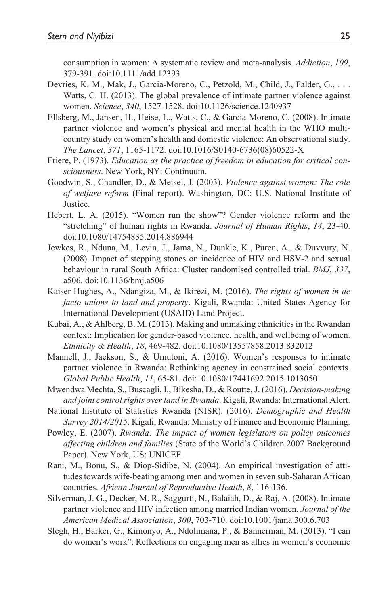consumption in women: A systematic review and meta-analysis. *Addiction*, *109*, 379-391. doi:10.1111/add.12393

- Devries, K. M., Mak, J., Garcia-Moreno, C., Petzold, M., Child, J., Falder, G., . . . Watts, C. H. (2013). The global prevalence of intimate partner violence against women. *Science*, *340*, 1527-1528. doi:10.1126/science.1240937
- Ellsberg, M., Jansen, H., Heise, L., Watts, C., & Garcia-Moreno, C. (2008). Intimate partner violence and women's physical and mental health in the WHO multicountry study on women's health and domestic violence: An observational study. *The Lancet*, *371*, 1165-1172. doi:10.1016/S0140-6736(08)60522-X
- Friere, P. (1973). *Education as the practice of freedom in education for critical consciousness*. New York, NY: Continuum.
- Goodwin, S., Chandler, D., & Meisel, J. (2003). *Violence against women: The role of welfare reform* (Final report). Washington, DC: U.S. National Institute of Justice.
- Hebert, L. A. (2015). "Women run the show"? Gender violence reform and the "stretching" of human rights in Rwanda. *Journal of Human Rights*, *14*, 23-40. doi:10.1080/14754835.2014.886944
- Jewkes, R., Nduna, M., Levin, J., Jama, N., Dunkle, K., Puren, A., & Duvvury, N. (2008). Impact of stepping stones on incidence of HIV and HSV-2 and sexual behaviour in rural South Africa: Cluster randomised controlled trial. *BMJ*, *337*, a506. doi:10.1136/bmj.a506
- Kaiser Hughes, A., Ndangiza, M., & Ikirezi, M. (2016). *The rights of women in de facto unions to land and property*. Kigali, Rwanda: United States Agency for International Development (USAID) Land Project.
- Kubai, A., & Ahlberg, B. M. (2013). Making and unmaking ethnicities in the Rwandan context: Implication for gender-based violence, health, and wellbeing of women. *Ethnicity & Health*, *18*, 469-482. doi:10.1080/13557858.2013.832012
- Mannell, J., Jackson, S., & Umutoni, A. (2016). Women's responses to intimate partner violence in Rwanda: Rethinking agency in constrained social contexts. *Global Public Health*, *11*, 65-81. doi:10.1080/17441692.2015.1013050
- Mwendwa Mechta, S., Buscagli, I., Bikesha, D., & Routte, J. (2016). *Decision-making and joint control rights over land in Rwanda*. Kigali, Rwanda: International Alert.
- National Institute of Statistics Rwanda (NISR). (2016). *Demographic and Health Survey 2014/2015*. Kigali, Rwanda: Ministry of Finance and Economic Planning.
- Powley, E. (2007). *Rwanda: The impact of women legislators on policy outcomes affecting children and families* (State of the World's Children 2007 Background Paper). New York, US: UNICEF.
- Rani, M., Bonu, S., & Diop-Sidibe, N. (2004). An empirical investigation of attitudes towards wife-beating among men and women in seven sub-Saharan African countries. *African Journal of Reproductive Health*, *8*, 116-136.
- Silverman, J. G., Decker, M. R., Saggurti, N., Balaiah, D., & Raj, A. (2008). Intimate partner violence and HIV infection among married Indian women. *Journal of the American Medical Association*, *300*, 703-710. doi:10.1001/jama.300.6.703
- Slegh, H., Barker, G., Kimonyo, A., Ndolimana, P., & Bannerman, M. (2013). "I can do women's work": Reflections on engaging men as allies in women's economic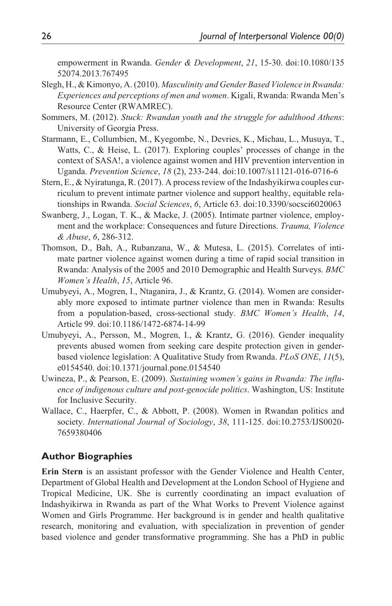empowerment in Rwanda. *Gender & Development*, *21*, 15-30. doi:10.1080/135 52074.2013.767495

- Slegh, H., & Kimonyo, A. (2010). *Masculinity and Gender Based Violence in Rwanda: Experiences and perceptions of men and women*. Kigali, Rwanda: Rwanda Men's Resource Center (RWAMREC).
- Sommers, M. (2012). *Stuck: Rwandan youth and the struggle for adulthood Athens*: University of Georgia Press.
- Starmann, E., Collumbien, M., Kyegombe, N., Devries, K., Michau, L., Musuya, T., Watts, C., & Heise, L. (2017). Exploring couples' processes of change in the context of SASA!, a violence against women and HIV prevention intervention in Uganda. *Prevention Science*, *18* (2), 233-244. doi:10.1007/s11121-016-0716-6
- Stern, E., & Nyiratunga, R. (2017). A process review of the Indashyikirwa couples curriculum to prevent intimate partner violence and support healthy, equitable relationships in Rwanda. *Social Sciences*, *6*, Article 63. doi:10.3390/socsci6020063
- Swanberg, J., Logan, T. K., & Macke, J. (2005). Intimate partner violence, employment and the workplace: Consequences and future Directions. *Trauma, Violence & Abuse*, *6*, 286-312.
- Thomson, D., Bah, A., Rubanzana, W., & Mutesa, L. (2015). Correlates of intimate partner violence against women during a time of rapid social transition in Rwanda: Analysis of the 2005 and 2010 Demographic and Health Surveys. *BMC Women's Health*, *15*, Article 96.
- Umubyeyi, A., Mogren, I., Ntaganira, J., & Krantz, G. (2014). Women are considerably more exposed to intimate partner violence than men in Rwanda: Results from a population-based, cross-sectional study. *BMC Women's Health*, *14*, Article 99. doi:10.1186/1472-6874-14-99
- Umubyeyi, A., Persson, M., Mogren, I., & Krantz, G. (2016). Gender inequality prevents abused women from seeking care despite protection given in genderbased violence legislation: A Qualitative Study from Rwanda. *PLoS ONE*, *11*(5), e0154540. doi:10.1371/journal.pone.0154540
- Uwineza, P., & Pearson, E. (2009). *Sustaining women's gains in Rwanda: The influence of indigenous culture and post-genocide politics*. Washington, US: Institute for Inclusive Security.
- Wallace, C., Haerpfer, C., & Abbott, P. (2008). Women in Rwandan politics and society. *International Journal of Sociology*, *38*, 111-125. doi:10.2753/IJS0020- 7659380406

#### **Author Biographies**

**Erin Stern** is an assistant professor with the Gender Violence and Health Center, Department of Global Health and Development at the London School of Hygiene and Tropical Medicine, UK. She is currently coordinating an impact evaluation of Indashyikirwa in Rwanda as part of the What Works to Prevent Violence against Women and Girls Programme. Her background is in gender and health qualitative research, monitoring and evaluation, with specialization in prevention of gender based violence and gender transformative programming. She has a PhD in public